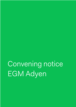Convening notice EGM Adyen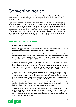# Convening notice

Adyen N.V. (the **Company**) is pleased to invite its shareholders for the Virtual Extraordinary General Meeting (**General Meeting**) to be held on 12 February 2021 at 15:00 hours (CET).

Adyen hereby convenes a fully virtual General Meeting, in accordance with the emergency act adopted by the Dutch government on 24 April 2020 and still in force (the "**Emergency Act**"). This means that no visitors or shareholders can attend in person, but there will be a live webcast of the EGM. Adyen encourages its shareholders to make use of the possibility to give a voting instruction in advance of the General Meeting. Further, shareholders will have the possibility to ask questions (i) during the General Meeting and (ii) prior to the General Meeting by submitting questions up to 72 hours prior to the General Meeting (for further information, please see section "Additional information").

# **Agenda and explanatory notes**

# 1. **Opening andannouncements**

# 2. **Proposal appointment Alexander Matthey as member of the Management Board with the title Chief Technology Officer (***voting item***)**

In accordance with the Articles of Association of the Company, the Supervisory Board proposes to appoint Alexander Matthey as member of the Management Board with effect from the date of this General Meeting for a period of four (4) years. Alexander will take over the role of Chief Technology Officer (**CTO**) from Arnout Schuijff.

Alexander Matthey (age: 39) is a German citizen. Alexander's career at Adyen began six (6) years ago when he was hired as VP Integrations, and the fourth member of the then fledgling Berlin office. In his subsequent role as EVP Technology, Alexander has been serving on Adyen's Extended Management Board since January 2019. Prior to Adyen, Alexander worked at Rocket Internet-backed Glossybox, where he was CTO.

The Supervisory Board proposes to appoint Alexander as a Management Board member of the Company in view of his knowledge and experience as Adyen's VP Integrations and EVP Technology over the last six (6) years, combined with the very broad experience Alexander brings. Alexander has been a vital part of some of the Company's most crucial projects over the past few years – including the building of Adyen for Platforms.

The proposed appointment takes the Management Board Profile into account. The proposed appointment of Alexander as a member of the Management Board of Adyen has been approved by the Dutch Central Bank (*De Nederlandsche Bank*).

The remuneration of Alexander shall be in accordance with the Company's existing Remuneration Policy as approved by the General Meeting of shareholders which was held on 26 May 2020. The main elements of the arrangements with Alexander (as applicable as per his appointment) are set out in Annex I (in accordance with best practice provision 3.4.2 of the Corporate Governance Code).

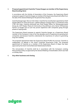# 3. **Proposal appointment Caoimhe Treasa Keogan as member of the Supervisory Board (***voting item***)**

In accordance with the Articles of Association of the Company, the Supervisory Board proposes to appoint Caoimhe Keogan as member of the Supervisory Board with effect from the date of this General Meeting for the period of four (4) years.

Caoimhe Keogan (age: 42) is an Irish citizen. Caoimhe has recently been appointed as Chief People Officer for Aveva Group plc, a global software company that is a constituent of the FTSE 100 Index. Caoimhe previously was Chief People Officer for Moneysupermarket Group plc, SVP People, Places & Community at SoundCloud, and a Senior HR Business Partner at Google and as such has proven experience with companies going through phases of rapid growth.

The Supervisory Board proposes to appoint Caoimhe Keogan as a Supervisory Board member of the Company in view of her two decades worth of experience at growing tech companies and because Caoimhe understands the importance of culture to generating long-term stability.

The proposed appointment takes the Supervisory Board Profile into account. Caoimhe is independent, as defined in the Dutch Corporate Governance Code. The proposed appointment of Caoimhe as a member of the Supervisory Board of Adyen has been approved by the Dutch Central Bank (*De Nederlandsche Bank*).

The remuneration of Caoimhe shall be in accordance with the Company's existing Remuneration Policy as approved by the General Meeting of shareholders which was held on 26 May 2020.

#### 4. **Any other business and closing**

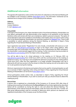# **Additional information**

The agenda with explanatory notes and the instructions for attendance at the General Meeting will be available on the Company's website (www.adven.com/ir). The information mentioned can be obtained free of charge via the Company, at the following email address.

# **Address**

Adyen N.V. Investor Relations E-mail: ir@adyen.com

# **Virtual EGM**

In the light of the Emergency Act, Adyen decided to hold a Virtual General Meeting. Shareholders can only attend, participate and vote electronically at the meeting on all resolutions via the internet, therefore online and remote with their own smartphone, tablet or personal computer. The option of virtual attendance will not be available if a shareholder's intermediary does not support online voting. Prior to the General Meeting, shareholders can send their questions to *ir@adyen.com*. There is also a possibility to submit questions during the General Meeting, as described in Adyen's Policy regarding the Virtual General Meeting of Shareholders.

Upon registration (see section "Registration") to vote virtually, a shareholder will receive an e-mail with a link via www.abnamro.com/evoting to login to the Adyen online voting platform. After successful login and confirmation of the login via two-factor authentication (by SMS verification), the shareholder is automatically logged into the meeting. Further instructions may be provided via www.abnamro.com/evoting and/or the Adyen online voting platform.

You will be able to log in for virtual admission to the meeting on 12 February 2021 via www.abnamro.com/evoting from 14:00 hours (CET) until the commencement of the meeting at 15:00 hours (CET). You must log in and complete the admission procedure for the meeting before 15:00 hours (CET). After this time registration is no longer possible; Shareholders who log in afterwards will only have access to the live stream to follow the meeting, but will not be able to vote nor to ask questions during the meeting.

Minimum requirements to the devices and systems that can be used for virtual participation as well as an overview of Q&A's regarding online voting and Adyen's Policy regarding the Virtual General Meeting of Shareholders can be found at www.adyen.com/ir.

Virtual participation entails certain risks, as described in Adyen's Policy regarding the Virtual General Meeting of Shareholders. If you wish to avoid such risks you should choose to attend the meeting by proxy.

# **Record Date**

A person who is registered as a shareholder of the Company on 15 January 2021 after close of trading and processing of all settlements (the **Record Date**) and has timely registered (as described below) will be considered as having the right to vote and attend the General Meeting. The administration of the relevant financial intermediary under the Dutch Securities Giro Transfer Act (*Wet giraal effectenverkeer*) shall be consulted to determine which persons are deemed to be registered shareholders of the Company as per the Record Date.

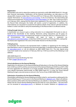#### **Registration**

Shareholders who wish to attend the meeting are required to notify ABN AMRO Bank N.V. through their financial intermediary. Notification via the financial intermediary can take place as of 16 January 2021, however no later than 17:00 hours (CET) on 5 February 2021. Shareholders can also register themselves via www.abnamro.com/evoting. In all circumstances, the intermediary will need toissueastatement via www.abnamro.com/intermediary,no later than 12:00 hours (CET) on 8 February 2021, stating that the shares were registered in the name of the holder thereof on the Record Date whereupon the holder will receive a proof of registration. In addition, the intermediaries are requested to include the full address details of the relevant ultimate beneficial holders in order to be able to verify the shareholding on the Record Date in an efficient manner.

#### **Voting through internet**

A shareholder can choose to give a voting instruction to an independent third party to vote on behalf of the shareholder at the meeting. Electronic voting instructions can be given via www.abnamro.com/evoting and need to be received on 5 February 2021 by 17:00 hours (CET). In all circumstances, the intermediary will need to issue a statement via www.abnamro.com/intermediary, no later than 12:00 hours (CET) on 8 February 2021, stating that the shares were registered in the name of the holder thereof on the Record Date.

### **Voting by proxy**

A shareholder who chooses to be represented shall, in addition to registering for the meeting as described above, send in a signed proxy instrument separately. A standard written proxy is available on www.adyen.com/ir or can be obtained via ABN AMRO Bank N.V. The duly signed proxy instrument needs to be received on 5 February 2021 by 17:00 hours (CET) at the following e-mail address:

#### ABN AMRO Bank N.V. Department Corporate Broking HQ 7212 E-mail: ava@nl.abnamro.com

# **Virtual admittance to the General Meeting**

Registration for admission to the General Meeting will take place on the day of the General Meeting from 14:00 hours (CET) until the commencement of the General Meeting at 15:00 hours (CET). After this time registration for admission is no longer possible. Persons entitled to attend the meeting must identify themselves electronically via ABN AMRO Bank N.V. to enter the Virtual General Meeting through a secured access as set out in the Terms of Use of ABN AMRO Bank N.V.

#### **Submission of questions for the General Meeting**

Shareholders attending the General Meeting are kindly invited to send questions addressed to the General Meeting up to 72 hours prior to the General Meeting to ir@adyen.com. Adyen will address these questions either before the General Meeting on its website, or during the General Meeting. Please see the Virtual General Meeting Manual and FAQs for more information – this document can be accessed at www.adyen.com/ir, or obtained via Investor Relations at ir@adyen.com.

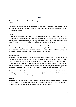# **Annex I**

Main elements of Alexander Matthey's Management Board Agreement and other applicable items.

The following summarizes main elements of Alexander Matthey's Management Board Agreement and other applicable items (as also applicable to the other members of the Management Board):

#### **Term**

Similar to the Company's other Board members, Alexander will enter into a service agreement (*overeenkomst van opdracht*) with Adyen N.V. effective as of 1 January 2021. The terms and conditions of this service agreement has been aligned with the Dutch Corporate Governance Code. The service agreement will be entered into for a term of four (4) years.

The service agreement provides for a severance of one annual base salary if Alexander is not re-appointed or the agreement is otherwise terminated by the Company (for any reason other than urgent cause within the meaning of article 7:678 of the Dutch Civil Code (*dringende reden*)), in accordance with the Dutch Corporate Governance Code.

#### **Remuneration**

Alexander shall be entitled to a basic full-time annual fee of an amount of EUR 500,000 gross per year, which will be paid by the Company in twelve equal installments at the end of each month. 75% of the remuneration fee shall be paid in cash, the other 25% shall be paid in depositary receipts issued by Stichting Administratiekantoor Adyen (**STAK**) for shares in the capital of Adyen N.V. These depository receipts shall be issued and administered under the terms and conditions of the Company's Depository Receipts Award Plan (Equity Plan).

Once a year, the Supervisory Board will review the remuneration fee and determine whether, and if so, to what extent the remuneration fee will be adjusted in accordance with the applicable remuneration policies of the Company.

#### **Shares**

As part of his employment, Alexander has been granted options under the Company's Option Plan. As per the date of this convening notice, these options amount to 2,500. Following his appointment, Alexander shall continue to be entitled to these options.